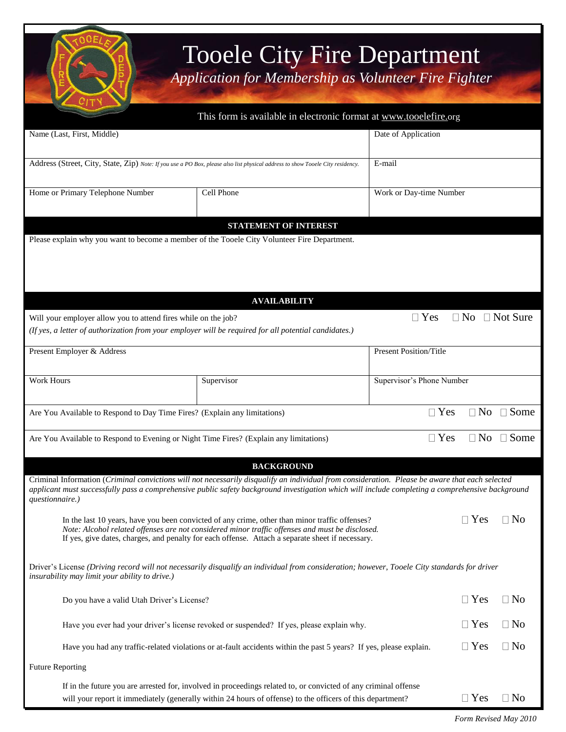

## Tooele City Fire Department

*Application for Membership as Volunteer Fire Fighter*

|                                                                                        | This form is available in electronic format at www.tooelefire.org                                                                                                                                                                                                                                     |                                           |  |  |  |
|----------------------------------------------------------------------------------------|-------------------------------------------------------------------------------------------------------------------------------------------------------------------------------------------------------------------------------------------------------------------------------------------------------|-------------------------------------------|--|--|--|
| Name (Last, First, Middle)                                                             |                                                                                                                                                                                                                                                                                                       | Date of Application                       |  |  |  |
|                                                                                        | Address (Street, City, State, Zip) Note: If you use a PO Box, please also list physical address to show Tooele City residency.                                                                                                                                                                        | E-mail                                    |  |  |  |
| Home or Primary Telephone Number                                                       | Cell Phone                                                                                                                                                                                                                                                                                            | Work or Day-time Number                   |  |  |  |
|                                                                                        | <b>STATEMENT OF INTEREST</b>                                                                                                                                                                                                                                                                          |                                           |  |  |  |
|                                                                                        | Please explain why you want to become a member of the Tooele City Volunteer Fire Department.                                                                                                                                                                                                          |                                           |  |  |  |
|                                                                                        | <b>AVAILABILITY</b>                                                                                                                                                                                                                                                                                   |                                           |  |  |  |
| Will your employer allow you to attend fires while on the job?                         | (If yes, a letter of authorization from your employer will be required for all potential candidates.)                                                                                                                                                                                                 | $\Box$ No $\Box$ Not Sure<br>$\Box$ Yes   |  |  |  |
| Present Employer & Address                                                             |                                                                                                                                                                                                                                                                                                       | <b>Present Position/Title</b>             |  |  |  |
| <b>Work Hours</b>                                                                      | Supervisor                                                                                                                                                                                                                                                                                            | Supervisor's Phone Number                 |  |  |  |
| Are You Available to Respond to Day Time Fires? (Explain any limitations)              |                                                                                                                                                                                                                                                                                                       | $\Box$ Yes<br>$\Box$ No<br>$\square$ Some |  |  |  |
| Are You Available to Respond to Evening or Night Time Fires? (Explain any limitations) |                                                                                                                                                                                                                                                                                                       | $\Box$ No $\Box$ Some<br>$\Box$ Yes       |  |  |  |
|                                                                                        | <b>BACKGROUND</b>                                                                                                                                                                                                                                                                                     |                                           |  |  |  |
| questionnaire.)                                                                        | Criminal Information (Criminal convictions will not necessarily disqualify an individual from consideration. Please be aware that each selected<br>applicant must successfully pass a comprehensive public safety background investigation which will include completing a comprehensive background   |                                           |  |  |  |
|                                                                                        | In the last 10 years, have you been convicted of any crime, other than minor traffic offenses?<br>Note: Alcohol related offenses are not considered minor traffic offenses and must be disclosed.<br>If yes, give dates, charges, and penalty for each offense. Attach a separate sheet if necessary. | $\Box$ Yes<br>$\Box$ No                   |  |  |  |
| insurability may limit your ability to drive.)                                         | Driver's License (Driving record will not necessarily disqualify an individual from consideration; however, Tooele City standards for driver                                                                                                                                                          |                                           |  |  |  |
| Do you have a valid Utah Driver's License?                                             |                                                                                                                                                                                                                                                                                                       | $\Box$ Yes<br>$\Box$ No                   |  |  |  |
|                                                                                        | Have you ever had your driver's license revoked or suspended? If yes, please explain why.                                                                                                                                                                                                             | $\Box$ No<br>$\Box$ Yes                   |  |  |  |
|                                                                                        | Have you had any traffic-related violations or at-fault accidents within the past 5 years? If yes, please explain.                                                                                                                                                                                    | $\Box$ Yes<br>$\Box$ No                   |  |  |  |
| <b>Future Reporting</b>                                                                |                                                                                                                                                                                                                                                                                                       |                                           |  |  |  |
|                                                                                        | If in the future you are arrested for, involved in proceedings related to, or convicted of any criminal offense<br>will your report it immediately (generally within 24 hours of offense) to the officers of this department?                                                                         | $\Box$ Yes<br>$\Box$ No                   |  |  |  |